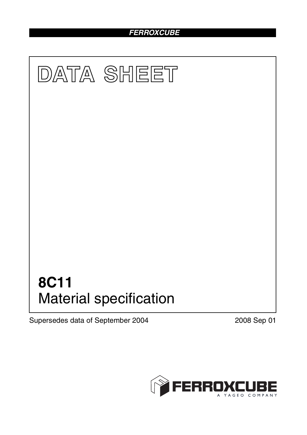# *FERROXCUBE*



Supersedes data of September 2004 2008 Sep 01

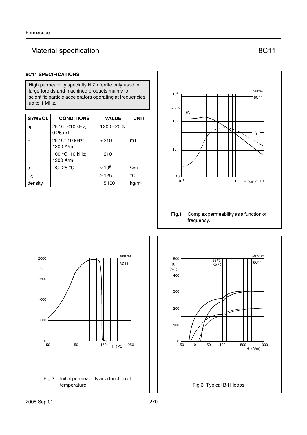# Material specification **8C11**

### **8C11 SPECIFICATIONS**

High permeability specialty NiZn ferrite only used in large toroids and machined products mainly for scientific particle accelerators operating at frequencies up to 1 MHz.

| <b>SYMBOL</b> | <b>CONDITIONS</b>            | <b>VALUE</b>   | <b>UNIT</b>       |
|---------------|------------------------------|----------------|-------------------|
| $\mu_{i}$     | 25 °C; ≤10 kHz;<br>$0.25$ mT | 1200 ± 20%     |                   |
| B             | 25 °C; 10 kHz;<br>1200 A/m   | $\approx$ 310  | mT                |
|               | 100 °C; 10 kHz;<br>1200 A/m  | $\approx$ 210  |                   |
| $\rho$        | DC; 25 $\degree$ C           | $\approx 10^5$ | $\Omega$ m        |
| $T_{\rm C}$   |                              | $\geq$ 125     | $^{\circ}C$       |
| density       |                              | $\approx 5100$ | kg/m <sup>3</sup> |